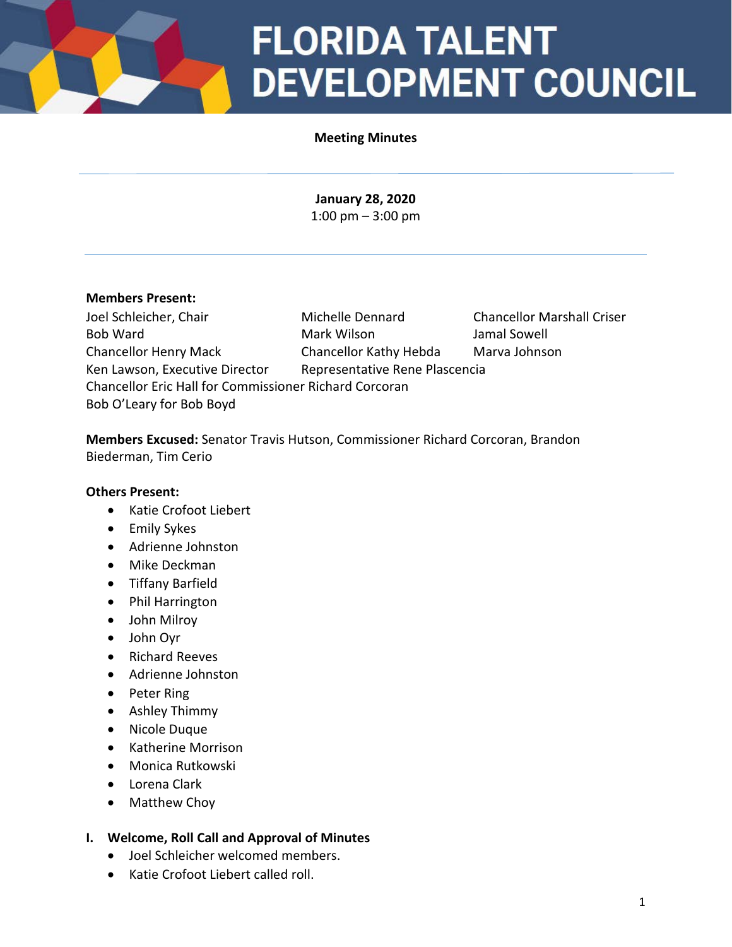### **FLORIDA TALENT DEVELOPMENT COUNCIL**

#### **Meeting Minutes**

**January 28, 2020** 1:00 pm – 3:00 pm

#### **Members Present:**

Joel Schleicher, Chair Michelle Dennard Chancellor Marshall Criser Bob Ward Mark Wilson Jamal Sowell Chancellor Henry Mack Chancellor Kathy Hebda Marva Johnson Ken Lawson, Executive Director Representative Rene Plascencia Chancellor Eric Hall for Commissioner Richard Corcoran Bob O'Leary for Bob Boyd

**Members Excused:** Senator Travis Hutson, Commissioner Richard Corcoran, Brandon Biederman, Tim Cerio

#### **Others Present:**

- Katie Crofoot Liebert
- Emily Sykes
- Adrienne Johnston
- Mike Deckman
- Tiffany Barfield
- Phil Harrington
- John Milroy
- John Oyr
- Richard Reeves
- Adrienne Johnston
- Peter Ring
- Ashley Thimmy
- Nicole Duque
- Katherine Morrison
- Monica Rutkowski
- Lorena Clark
- Matthew Choy

#### **I. Welcome, Roll Call and Approval of Minutes**

- Joel Schleicher welcomed members.
- Katie Crofoot Liebert called roll.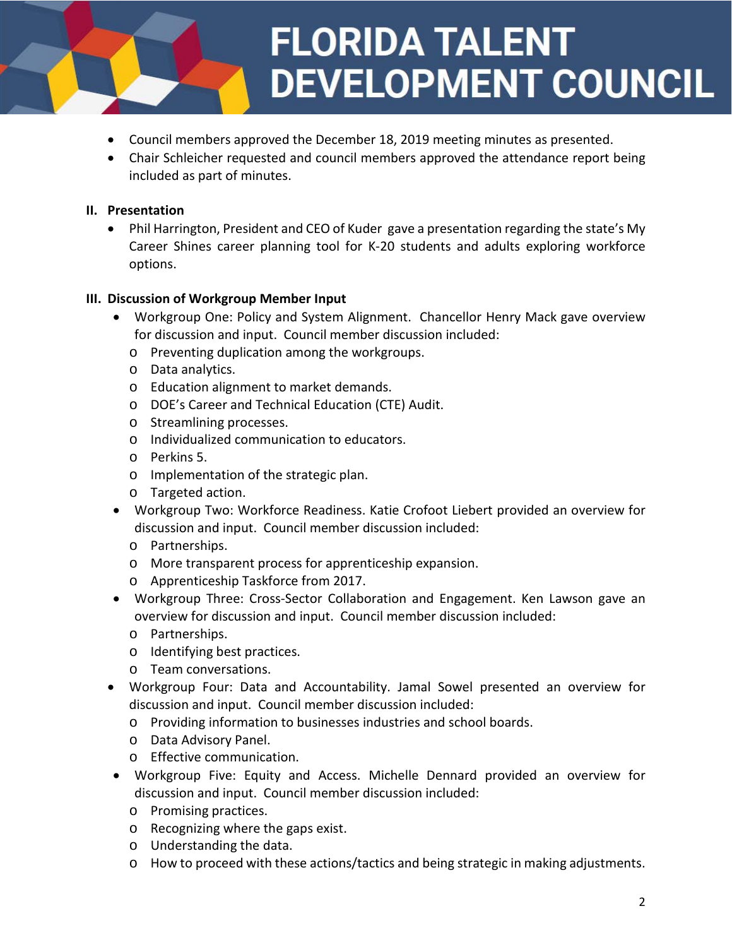# **FLORIDA TALENT DEVELOPMENT COUNCIL**

- Council members approved the December 18, 2019 meeting minutes as presented.
- Chair Schleicher requested and council members approved the attendance report being included as part of minutes.

#### **II. Presentation**

• Phil Harrington, President and CEO of Kuder gave a presentation regarding the state's My Career Shines career planning tool for K-20 students and adults exploring workforce options.

#### **III. Discussion of Workgroup Member Input**

- Workgroup One: Policy and System Alignment. Chancellor Henry Mack gave overview for discussion and input. Council member discussion included:
	- o Preventing duplication among the workgroups.
	- o Data analytics.
	- o Education alignment to market demands.
	- o DOE's Career and Technical Education (CTE) Audit.
	- o Streamlining processes.
	- o Individualized communication to educators.
	- o Perkins 5.
	- o Implementation of the strategic plan.
	- o Targeted action.
- Workgroup Two: Workforce Readiness. Katie Crofoot Liebert provided an overview for discussion and input. Council member discussion included:
	- o Partnerships.
	- o More transparent process for apprenticeship expansion.
	- o Apprenticeship Taskforce from 2017.
- Workgroup Three: Cross-Sector Collaboration and Engagement. Ken Lawson gave an overview for discussion and input. Council member discussion included:
	- o Partnerships.
	- o Identifying best practices.
	- o Team conversations.
- Workgroup Four: Data and Accountability. Jamal Sowel presented an overview for discussion and input. Council member discussion included:
	- o Providing information to businesses industries and school boards.
	- o Data Advisory Panel.
	- o Effective communication.
- Workgroup Five: Equity and Access. Michelle Dennard provided an overview for discussion and input. Council member discussion included:
	- o Promising practices.
	- o Recognizing where the gaps exist.
	- o Understanding the data.
	- o How to proceed with these actions/tactics and being strategic in making adjustments.